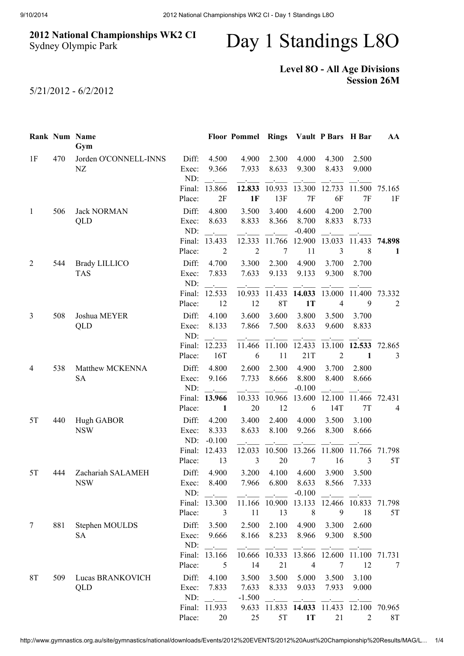## 2012 National Championships WK2 CI Sydney Olympic Park

## Day 1 Standings L8O

## Level 8O - All Age Divisions Session 26M

5/21/2012 - 6/2/2012

|                |     | Rank Num Name<br>Gym               |                  |                                  | Floor Pommel Rings Vault P Bars H Bar |                      |                    |                                   |                | AA             |
|----------------|-----|------------------------------------|------------------|----------------------------------|---------------------------------------|----------------------|--------------------|-----------------------------------|----------------|----------------|
| 1F             | 470 | Jorden O'CONNELL-INNS              | Diff:            | 4.500                            | 4.900                                 | 2.300                | 4.000              | 4.300                             | 2.500          |                |
|                |     | NZ                                 | Exec:            | 9.366                            | 7.933                                 | 8.633                | 9.300              | 8.433                             | 9.000          |                |
|                |     |                                    | ND:              |                                  |                                       |                      |                    |                                   |                |                |
|                |     |                                    | Final:           | 13.866                           | 12.833                                | 10.933               | 13.300             | 12.733                            | 11.500         | 75.165         |
|                |     |                                    | Place:           | 2F                               | 1F                                    | 13F                  | $7\mathrm{F}$      | 6F                                | 7F             | 1F             |
| $\mathbf{1}$   | 506 | <b>Jack NORMAN</b>                 | Diff:            | 4.800                            | 3.500                                 | 3.400                | 4.600              | 4.200                             | 2.700          |                |
|                |     | QLD                                | Exec:            | 8.633                            | 8.833                                 | 8.366                | 8.700              | 8.833                             | 8.733          |                |
|                |     |                                    | ND:<br>Final:    | $\sim$<br>13.433                 | 12.333                                | 11.766               | $-0.400$<br>12.900 | 13.033                            | 11.433         | 74.898         |
|                |     |                                    | Place:           | $\overline{2}$                   | $\sqrt{2}$                            | 7                    | 11                 | 3                                 | 8              | 1              |
|                |     |                                    |                  |                                  |                                       |                      |                    |                                   |                |                |
| 2              | 544 | <b>Brady LILLICO</b><br><b>TAS</b> | Diff:<br>Exec:   | 4.700<br>7.833                   | 3.300<br>7.633                        | 2.300<br>9.133       | 4.900<br>9.133     | 3.700<br>9.300                    | 2.700<br>8.700 |                |
|                |     |                                    | ND:              |                                  |                                       |                      |                    |                                   |                |                |
|                |     |                                    | Final:           | 12.533                           | 10.933                                | 11.433               | 14.033             | 13.000                            | 11.400         | 73.332         |
|                |     |                                    | Place:           | 12                               | 12                                    | 8T                   | 1T                 | $\overline{4}$                    | 9              | $\overline{2}$ |
| 3              | 508 | Joshua MEYER                       | Diff:            | 4.100                            | 3.600                                 | 3.600                | 3.800              | 3.500                             | 3.700          |                |
|                |     | <b>QLD</b>                         | Exec:            | 8.133                            | 7.866                                 | 7.500                | 8.633              | 9.600                             | 8.833          |                |
|                |     |                                    | ND:              | $\ddot{\phantom{a}}$             |                                       |                      |                    |                                   |                |                |
|                |     |                                    | Final:           | 12.233                           | 11.466                                | 11.100               | 12.433             | 13.100                            | 12.533         | 72.865         |
|                |     |                                    | Place:           | 16T                              | 6                                     | 11                   | 21T                | $\overline{2}$                    | 1              | 3              |
| 4              | 538 | Matthew MCKENNA                    | Diff:            | 4.800                            | 2.600                                 | 2.300                | 4.900              | 3.700                             | 2.800          |                |
|                |     | <b>SA</b>                          | Exec:            | 9.166                            | 7.733                                 | 8.666                | 8.800              | 8.400                             | 8.666          |                |
|                |     |                                    | ND:              |                                  |                                       |                      | $-0.100$           |                                   |                |                |
|                |     |                                    | Final:           | 13.966                           | 10.333                                | 10.966               | 13.600             | 12.100                            | 11.466         | 72.431         |
|                |     |                                    | Place:           | 1                                | 20                                    | 12                   | 6                  | 14T                               | 7T             | 4              |
| 5T             | 440 | Hugh GABOR                         | Diff:            | 4.200                            | 3.400                                 | 2.400                | 4.000              | 3.500                             | 3.100          |                |
|                |     | <b>NSW</b>                         | Exec:            | 8.333                            | 8.633                                 | 8.100                | 9.266              | 8.300                             | 8.666          |                |
|                |     |                                    | ND:              | $-0.100$                         |                                       |                      |                    |                                   |                |                |
|                |     |                                    | Final:<br>Place: | 12.433<br>13                     | 12.033<br>$\mathfrak{Z}$              | 10.500<br>20         | 13.266<br>7        | 11.800<br>16                      | 11.766<br>3    | 71.798<br>5T   |
|                |     |                                    |                  |                                  |                                       |                      |                    |                                   |                |                |
| 5T             | 444 | Zachariah SALAMEH                  | Diff:            | 4.900                            | 3.200                                 | 4.100<br>7.966 6.800 | 4.600              | 3.900                             | 3.500          |                |
|                |     | <sub>NSW</sub>                     | Exec:<br>ND:     | 8.400<br>$\sim 100$ km s $^{-1}$ |                                       |                      | 8.633<br>$-0.100$  | 8.566<br><b>Contract Contract</b> | 7.333          |                |
|                |     |                                    |                  | Final: 13.300                    |                                       | 11.166 10.900        | 13.133             |                                   | 12.466 10.833  | 71.798         |
|                |     |                                    | Place:           | 3                                | 11                                    | 13                   | $\,8\,$            | 9                                 | 18             | 5T             |
| $\overline{7}$ | 881 | Stephen MOULDS                     | Diff:            | 3.500                            | 2.500                                 | 2.100                | 4.900              | 3.300                             | 2.600          |                |
|                |     | SA                                 | Exec:            | 9.666                            | 8.166                                 | 8.233                | 8.966              | 9.300                             | 8.500          |                |
|                |     |                                    | ND:              | <b>Contractor</b>                |                                       |                      |                    |                                   |                |                |
|                |     |                                    |                  | Final: 13.166                    |                                       | 10.666 10.333        | 13.866             | 12.600                            | 11.100         | 71.731         |
|                |     |                                    | Place:           | 5                                | 14                                    | 21                   | $\overline{4}$     | $\tau$                            | 12             | 7              |
| <b>8T</b>      | 509 | Lucas BRANKOVICH                   | Diff:            | 4.100                            | 3.500                                 | 3.500                | 5.000              | 3.500                             | 3.100          |                |
|                |     | QLD                                | Exec:            | 7.833                            | 7.633                                 | 8.333                | 9.033              | 7.933                             | 9.000          |                |
|                |     |                                    | ND:              | $\mathcal{L}$                    | $-1.500$                              | $\sim 10^{-10}$      |                    |                                   |                |                |
|                |     |                                    | Final:           | 11.933                           | 9.633                                 | 11.833               | 14.033             | 11.433                            | 12.100         | 70.965         |
|                |     |                                    | Place:           | 20                               | 25                                    | 5T                   | <b>1T</b>          | 21                                | $\overline{2}$ | 8T             |

http://www.gymnastics.org.au/site/gymnastics/national/downloads/Events/2012%20EVENTS/2012%20Aust%20Championship%20Results/MAG/L… 1/4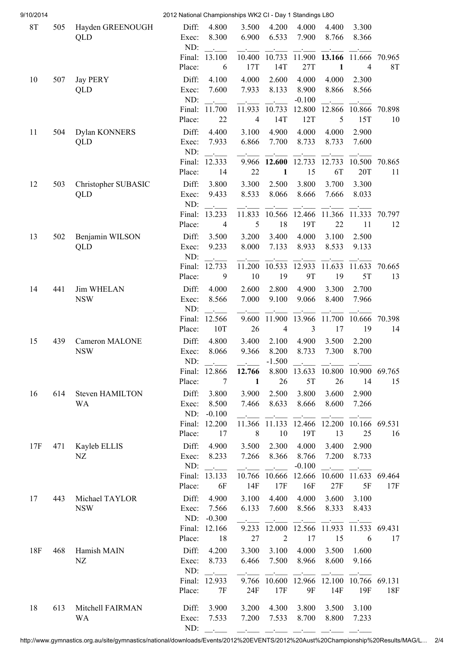| 9/10/2014 |     |                              | 2012 National Championships WK2 CI - Day 1 Standings L8O |                           |                             |                          |                |                                   |                      |              |
|-----------|-----|------------------------------|----------------------------------------------------------|---------------------------|-----------------------------|--------------------------|----------------|-----------------------------------|----------------------|--------------|
| <b>8T</b> | 505 | Hayden GREENOUGH<br>QLD      | Diff:<br>Exec:<br>ND:                                    | 4.800<br>8.300            | 3.500<br>6.900              | 4.200<br>6.533           | 4.000<br>7.900 | 4.400<br>8.766                    | 3.300<br>8.366       |              |
|           |     |                              | Final:                                                   | 13.100                    | 10.400                      | 10.733                   | 11.900         | 13.166                            | 11.666               | 70.965       |
|           |     |                              | Place:                                                   | 6                         | 17T                         | 14T                      | 27T            | 1                                 | 4                    | <b>8T</b>    |
| 10        | 507 | <b>Jay PERY</b>              | Diff:                                                    | 4.100                     | 4.000                       | 2.600                    | 4.000          | 4.000                             | 2.300                |              |
|           |     | QLD                          | Exec:                                                    | 7.600                     | 7.933                       | 8.133                    | 8.900          | 8.866                             | 8.566                |              |
|           |     |                              | ND:                                                      |                           |                             |                          | $-0.100$       |                                   |                      |              |
|           |     |                              | Final:                                                   | 11.700<br>22              | 11.933                      | 10.733<br>14T            | 12.800<br>12T  | 12.866<br>5                       | 10.866<br>15T        | 70.898<br>10 |
|           |     |                              | Place:                                                   |                           | 4                           |                          |                |                                   |                      |              |
| 11        | 504 | Dylan KONNERS<br>QLD         | Diff:<br>Exec:                                           | 4.400<br>7.933            | 3.100<br>6.866              | 4.900<br>7.700           | 4.000<br>8.733 | 4.000<br>8.733                    | 2.900<br>7.600       |              |
|           |     |                              | ND:                                                      |                           |                             |                          |                |                                   |                      |              |
|           |     |                              | Final:                                                   | 12.333                    | 9.966                       | 12.600                   | 12.733         | 12.733                            | 10.500               | 70.865       |
|           |     |                              | Place:                                                   | 14                        | 22                          | 1                        | 15             | 6T                                | 20T                  | 11           |
| 12        | 503 | Christopher SUBASIC          | Diff:                                                    | 3.800                     | 3.300                       | 2.500                    | 3.800          | 3.700                             | 3.300                |              |
|           |     | QLD                          | Exec:                                                    | 9.433                     | 8.533                       | 8.066                    | 8.666          | 7.666                             | 8.033                |              |
|           |     |                              | ND:                                                      |                           |                             |                          |                |                                   |                      |              |
|           |     |                              | Final:<br>Place:                                         | 13.233<br>$\overline{4}$  | 11.833<br>5                 | 10.566<br>18             | 12.466<br>19T  | 11.366<br>22                      | 11.333<br>11         | 70.797<br>12 |
|           |     |                              |                                                          |                           |                             |                          |                |                                   |                      |              |
| 13        | 502 | Benjamin WILSON<br>QLD       | Diff:<br>Exec:                                           | 3.500<br>9.233            | 3.200<br>8.000              | 3.400<br>7.133           | 4.000<br>8.933 | 3.100<br>8.533                    | 2.500<br>9.133       |              |
|           |     |                              | ND:                                                      |                           |                             |                          |                |                                   |                      |              |
|           |     |                              | Final:                                                   | 12.733                    | 11.200                      | 10.533                   | 12.933         | 11.633                            | 11.633               | 70.665       |
|           |     |                              | Place:                                                   | 9                         | 10                          | 19                       | <b>9T</b>      | 19                                | 5T                   | 13           |
| 14        | 441 | <b>Jim WHELAN</b>            | Diff:                                                    | 4.000                     | 2.600                       | 2.800                    | 4.900          | 3.300                             | 2.700                |              |
|           |     | <b>NSW</b>                   | Exec:                                                    | 8.566                     | 7.000                       | 9.100                    | 9.066          | 8.400                             | 7.966                |              |
|           |     |                              | ND:                                                      |                           |                             |                          |                |                                   |                      |              |
|           |     |                              | Final:<br>Place:                                         | 12.566<br>10T             | 9.600<br>26                 | 11.900<br>$\overline{4}$ | 13.966<br>3    | 11.700<br>17                      | 10.666<br>19         | 70.398<br>14 |
| 15        |     |                              | Diff:                                                    | 4.800                     | 3.400                       |                          |                |                                   |                      |              |
|           | 439 | Cameron MALONE<br><b>NSW</b> | Exec:                                                    | 8.066                     | 9.366                       | 2.100<br>8.200           | 4.900<br>8.733 | 3.500<br>7.300                    | 2.200<br>8.700       |              |
|           |     |                              | ND:                                                      |                           |                             | $-1.500$                 |                |                                   |                      |              |
|           |     |                              |                                                          | Final: 12.866             | 12.766                      |                          | 8.800 13.633   | 10.800 10.900 69.765              |                      |              |
|           |     |                              | Place:                                                   | 7                         | 1                           | 26                       | 5T             | 26                                | 14                   | 15           |
| 16        | 614 | <b>Steven HAMILTON</b>       | Diff:                                                    | 3.800                     | 3.900                       | 2.500                    | 3.800          | 3.600                             | 2.900                |              |
|           |     | <b>WA</b>                    | Exec:                                                    | 8.500                     | 7.466                       | 8.633                    | 8.666          | 8.600                             | 7.266                |              |
|           |     |                              | ND:                                                      | $-0.100$                  |                             |                          |                |                                   |                      |              |
|           |     |                              | Final:<br>Place:                                         | 12.200<br>17              | 11.366<br>8                 | 11.133 12.466<br>10      | 19T            | 12.200 10.166 69.531<br>13        | 25                   | 16           |
| 17F       | 471 | Kayleb ELLIS                 | Diff:                                                    | 4.900                     | 3.500                       | 2.300                    | 4.000          | 3.400                             | 2.900                |              |
|           |     | NZ                           | Exec:                                                    | 8.233                     | 7.266                       | 8.366                    | 8.766          | 7.200                             | 8.733                |              |
|           |     |                              | ND:                                                      | $\sim 10^{11}$            | $\sim 10^{11}$ km s $^{-1}$ | <b>Contractor</b>        | $-0.100$       | $\sim 10^{11}$ and $\sim 10^{11}$ |                      |              |
|           |     |                              | Final:                                                   | 13.133                    | 10.766                      | 10.666                   | 12.666         |                                   | 10.600 11.633 69.464 |              |
|           |     |                              | Place:                                                   | 6F                        | 14F                         | 17F                      | 16F            | 27F                               | 5F                   | 17F          |
| 17        | 443 | Michael TAYLOR               | Diff:                                                    | 4.900                     | 3.100                       | 4.400                    | 4.000          | 3.600                             | 3.100                |              |
|           |     | <b>NSW</b>                   | Exec:                                                    | 7.566                     | 6.133                       | 7.600                    | 8.566          | 8.333                             | 8.433                |              |
|           |     |                              | ND:                                                      | $-0.300$<br>Final: 12.166 | 9.233                       | 12.000                   | 12.566         | 11.933                            | 11.533 69.431        |              |
|           |     |                              | Place:                                                   | 18                        | 27                          | $\overline{2}$           | 17             | 15                                | 6                    | 17           |
| 18F       | 468 | Hamish MAIN                  | Diff:                                                    | 4.200                     | 3.300                       | 3.100                    | 4.000          | 3.500                             | 1.600                |              |
|           |     | NZ                           | Exec:                                                    | 8.733                     | 6.466                       | 7.500                    | 8.966          | 8.600                             | 9.166                |              |
|           |     |                              | ND:                                                      | $\sim$ $-$                |                             |                          |                |                                   |                      |              |
|           |     |                              | Final:                                                   | 12.933                    | 9.766                       | 10.600                   | 12.966         | 12.100                            | 10.766               | 69.131       |
|           |     |                              | Place:                                                   | 7F                        | 24F                         | 17F                      | 9F             | 14F                               | 19F                  | 18F          |
| 18        | 613 | Mitchell FAIRMAN             | Diff:                                                    | 3.900                     | 3.200                       | 4.300                    | 3.800          | 3.500                             | 3.100                |              |
|           |     | WA                           | Exec:                                                    | 7.533                     | 7.200                       | 7.533                    | 8.700          | 8.800                             | 7.233                |              |
|           |     |                              | ND:                                                      | <b>Contractor</b>         |                             |                          |                |                                   |                      |              |

http://www.gymnastics.org.au/site/gymnastics/national/downloads/Events/2012%20EVENTS/2012%20Aust%20Championship%20Results/MAG/L… 2/4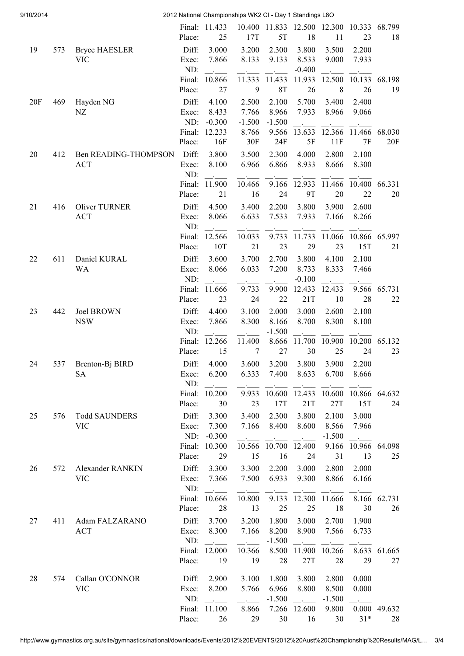| 9/10/2014 |     | 2012 National Championships WK2 CI - Day 1 Standings L8O |                           |                            |                                     |                            |                                   |                            |                                           |                    |  |
|-----------|-----|----------------------------------------------------------|---------------------------|----------------------------|-------------------------------------|----------------------------|-----------------------------------|----------------------------|-------------------------------------------|--------------------|--|
|           |     |                                                          | Place:                    | Final: 11.433<br>25        | 17T                                 | 5T                         | 10.400 11.833 12.500 12.300<br>18 | 11                         | 10.333<br>23                              | 68.799<br>18       |  |
| 19        | 573 | <b>Bryce HAESLER</b><br><b>VIC</b>                       | Diff:<br>Exec:<br>ND:     | 3.000<br>7.866             | 3.200<br>8.133                      | 2.300<br>9.133             | 3.800<br>8.533<br>$-0.400$        | 3.500<br>9.000             | 2.200<br>7.933                            |                    |  |
|           |     |                                                          | Final:<br>Place:          | 10.866<br>27               | 11.333<br>9                         | 11.433<br><b>8T</b>        | 11.933<br>26                      | 12.500<br>$8\,$            | 10.133<br>26                              | 68.198<br>19       |  |
| 20F       | 469 | Hayden NG<br>NZ                                          | Diff:<br>Exec:<br>ND:     | 4.100<br>8.433<br>$-0.300$ | 2.500<br>7.766<br>$-1.500$          | 2.100<br>8.966<br>$-1.500$ | 5.700<br>7.933                    | 3.400<br>8.966             | 2.400<br>9.066                            |                    |  |
|           |     |                                                          | Final:<br>Place:          | 12.233<br>16F              | 8.766<br>30F                        | 9.566<br>24F               | 13.633<br>5F                      | 12.366<br>11F              | 11.466<br>7F                              | 68.030<br>20F      |  |
| 20        | 412 | <b>Ben READING-THOMPSON</b><br><b>ACT</b>                | Diff:<br>Exec:<br>ND:     | 3.800<br>8.100             | 3.500<br>6.966                      | 2.300<br>6.866             | 4.000<br>8.933                    | 2.800<br>8.666             | 2.100<br>8.300                            |                    |  |
|           |     |                                                          | Final:<br>Place:          | 11.900<br>21               | 10.466<br>16                        | 9.166<br>24                | 12.933<br><b>9T</b>               | 11.466<br>20               | 10.400<br>22                              | 66.331<br>20       |  |
| 21        | 416 | <b>Oliver TURNER</b><br><b>ACT</b>                       | Diff:<br>Exec:<br>ND:     | 4.500<br>8.066             | 3.400<br>6.633                      | 2.200<br>7.533             | 3.800<br>7.933                    | 3.900<br>7.166             | 2.600<br>8.266                            |                    |  |
|           |     |                                                          | Final:<br>Place:          | 12.566<br>10T              | 10.033<br>21                        | 9.733<br>23                | 11.733<br>29                      | 11.066<br>23               | 10.866<br>15T                             | 65.997<br>21       |  |
| 22        | 611 | Daniel KURAL<br><b>WA</b>                                | Diff:<br>Exec:<br>ND:     | 3.600<br>8.066             | 3.700<br>6.033                      | 2.700<br>7.200             | 3.800<br>8.733<br>$-0.100$        | 4.100<br>8.333             | 2.100<br>7.466                            |                    |  |
| 23        | 442 | <b>Joel BROWN</b>                                        | Final:<br>Place:<br>Diff: | 11.666<br>23<br>4.400      | 9.733<br>24<br>3.100                | 9.900<br>22<br>2.000       | 12.433<br>21T<br>3.000            | 12.433<br>10<br>2.600      | 9.566<br>28<br>2.100                      | 65.731<br>22       |  |
|           |     | <b>NSW</b>                                               | Exec:<br>ND:              | 7.866                      | 8.300                               | 8.166<br>$-1.500$          | 8.700                             | 8.300                      | 8.100                                     |                    |  |
| 24        | 537 | Brenton-Bj BIRD                                          | Final:<br>Place:<br>Diff: | 12.266<br>15<br>4.000      | 11.400<br>$\boldsymbol{7}$<br>3.600 | 8.666<br>27<br>3.200       | 11.700<br>30<br>3.800             | 10.900<br>25<br>3.900      | 10.200<br>24<br>2.200                     | 65.132<br>23       |  |
|           |     | <b>SA</b>                                                | Exec:<br>ND:              | 6.200<br>$\sim 10^{-10}$   | 6.333                               | 7.400                      | 8.633                             | 6.700                      | 8.666                                     |                    |  |
| 25        | 576 | <b>Todd SAUNDERS</b>                                     | Final:<br>Place:<br>Diff: | 10.200<br>30<br>3.300      | 9.933<br>23<br>3.400                | 10.600<br>17T<br>2.300     | 12.433<br>21T<br>3.800            | 10.600<br>27T<br>2.100     | 10.866 64.632<br>15T<br>3.000             | 24                 |  |
|           |     | <b>VIC</b>                                               | Exec:<br>ND:              | 7.300<br>$-0.300$          | 7.166                               | 8.400                      | 8.600                             | 8.566<br>$-1.500$          | 7.966                                     |                    |  |
| 26        | 572 | Alexander RANKIN                                         | Final:<br>Place:<br>Diff: | 10.300<br>29<br>3.300      | 10.566<br>15<br>3.300               | 10.700<br>16<br>2.200      | 12.400<br>24<br>3.000             | 9.166<br>31<br>2.800       | 10.966<br>13<br>2.000                     | 64.098<br>25       |  |
|           |     | <b>VIC</b>                                               | Exec:<br>ND:              | 7.366                      | 7.500                               | 6.933                      | 9.300                             | 8.866                      | 6.166                                     |                    |  |
| 27        | 411 | Adam FALZARANO                                           | Final:<br>Place:<br>Diff: | 10.666<br>28<br>3.700      | 10.800<br>13<br>3.200               | 9.133<br>25<br>1.800       | 12.300<br>25<br>3.000             | 11.666<br>18<br>2.700      | 30<br>1.900                               | 8.166 62.731<br>26 |  |
|           |     | <b>ACT</b>                                               | Exec:<br>ND:              | 8.300<br><b>Carl Corp.</b> | 7.166                               | 8.200<br>$-1.500$          | 8.900<br>$\sim 10$                | 7.566<br>10.266            | 6.733                                     |                    |  |
|           |     |                                                          | Final:<br>Place:          | 12.000<br>19               | 10.366<br>19                        | 8.500<br>28                | 11.900<br>27T                     | 28                         | 8.633<br>29                               | 61.665<br>27       |  |
| 28        | 574 | Callan O'CONNOR<br><b>VIC</b>                            | Diff:<br>Exec:<br>ND:     | 2.900<br>8.200<br>$\sim$   | 3.100<br>5.766                      | 1.800<br>6.966<br>$-1.500$ | 3.800<br>8.800<br>$\sim 10^{-10}$ | 2.800<br>8.500<br>$-1.500$ | 0.000<br>0.000<br>$\sim 100$ km s $^{-1}$ |                    |  |
|           |     |                                                          | Final:<br>Place:          | 11.100<br>26               | 8.866<br>29                         | 7.266<br>30                | 12.600<br>16                      | 9.800<br>30                | 0.000<br>$31*$                            | 49.632<br>28       |  |